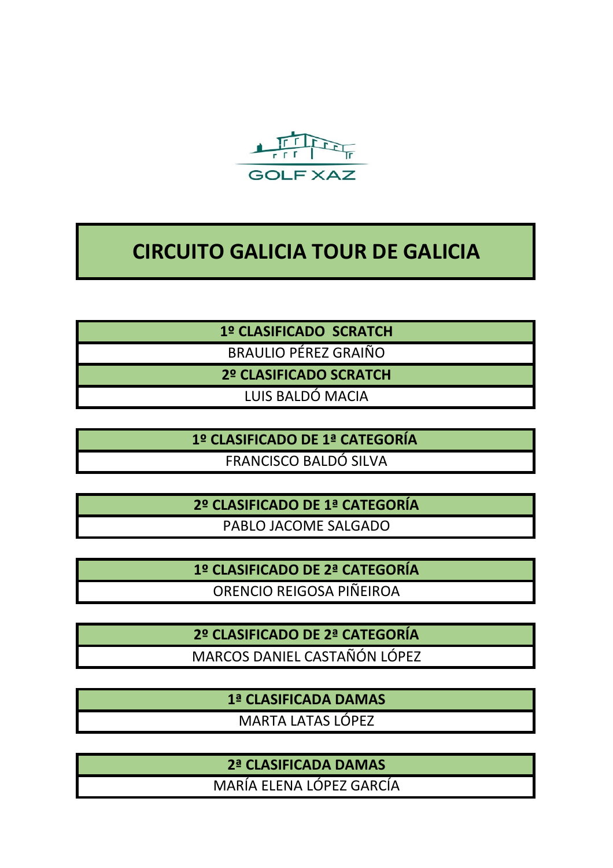

# **CIRCUITO GALICIA TOUR DE GALICIA**

**1º CLASIFICADO SCRATCH**

BRAULIO PÉREZ GRAIÑO

**2º CLASIFICADO SCRATCH**

LUIS BALDÓ MACIA

**1º CLASIFICADO DE 1ª CATEGORÍA**  FRANCISCO BALDÓ SILVA

**2º CLASIFICADO DE 1ª CATEGORÍA**

PABLO JACOME SALGADO

**1º CLASIFICADO DE 2ª CATEGORÍA**

ORENCIO REIGOSA PIÑEIROA

**2º CLASIFICADO DE 2ª CATEGORÍA** MARCOS DANIEL CASTAÑÓN LÓPEZ

> **1ª CLASIFICADA DAMAS** MARTA LATAS LÓPEZ

> **2ª CLASIFICADA DAMAS**

MARÍA ELENA LÓPEZ GARCÍA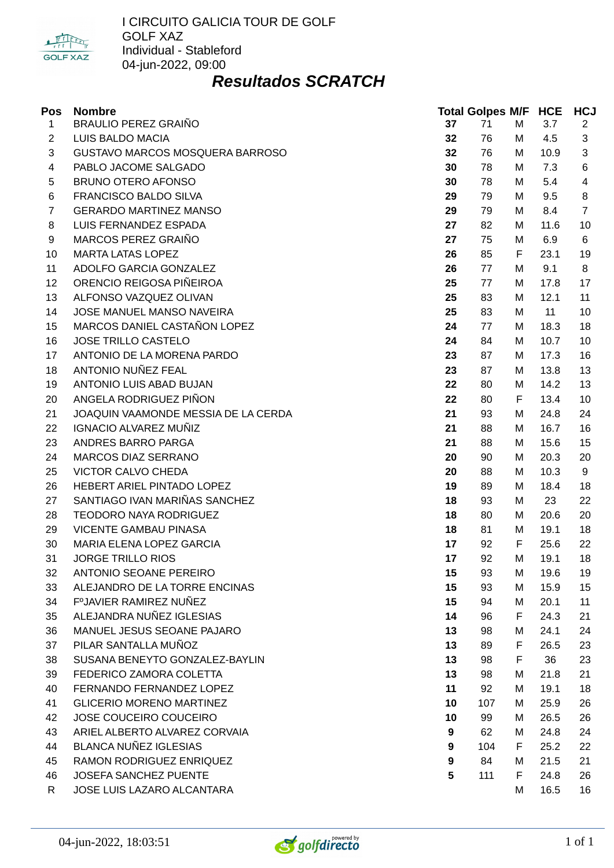

I CIRCUITO GALICIA TOUR DE GOLF GOLF XAZ Individual - Stableford 04-jun-2022, 09:00

## *Resultados SCRATCH*

| Pos            | <b>Nombre</b>                       |    | <b>Total Golpes M/F HCE</b> |   |      | <b>HCJ</b>     |
|----------------|-------------------------------------|----|-----------------------------|---|------|----------------|
| 1              | <b>BRAULIO PEREZ GRAIÑO</b>         | 37 | 71                          | M | 3.7  | $\overline{2}$ |
| $\overline{c}$ | LUIS BALDO MACIA                    | 32 | 76                          | М | 4.5  | 3              |
| 3              | GUSTAVO MARCOS MOSQUERA BARROSO     | 32 | 76                          | M | 10.9 | 3              |
| 4              | PABLO JACOME SALGADO                | 30 | 78                          | M | 7.3  | 6              |
| 5              | BRUNO OTERO AFONSO                  | 30 | 78                          | M | 5.4  | 4              |
| 6              | FRANCISCO BALDO SILVA               | 29 | 79                          | M | 9.5  | 8              |
| $\overline{7}$ | <b>GERARDO MARTINEZ MANSO</b>       | 29 | 79                          | M | 8.4  | $\overline{7}$ |
| 8              | LUIS FERNANDEZ ESPADA               | 27 | 82                          | M | 11.6 | 10             |
| 9              | MARCOS PEREZ GRAIÑO                 | 27 | 75                          | M | 6.9  | 6              |
| 10             | <b>MARTA LATAS LOPEZ</b>            | 26 | 85                          | F | 23.1 | 19             |
| 11             | ADOLFO GARCIA GONZALEZ              | 26 | 77                          | M | 9.1  | 8              |
| 12             | ORENCIO REIGOSA PIÑEIROA            | 25 | 77                          | M | 17.8 | 17             |
| 13             | ALFONSO VAZQUEZ OLIVAN              | 25 | 83                          | M | 12.1 | 11             |
| 14             | JOSE MANUEL MANSO NAVEIRA           | 25 | 83                          | M | 11   | 10             |
| 15             | MARCOS DANIEL CASTAÑON LOPEZ        | 24 | 77                          | M | 18.3 | 18             |
| 16             | <b>JOSE TRILLO CASTELO</b>          | 24 | 84                          | M | 10.7 | 10             |
| 17             | ANTONIO DE LA MORENA PARDO          | 23 | 87                          | M | 17.3 | 16             |
| 18             | ANTONIO NUÑEZ FEAL                  | 23 | 87                          | M | 13.8 | 13             |
| 19             | ANTONIO LUIS ABAD BUJAN             | 22 | 80                          | M | 14.2 | 13             |
| 20             | ANGELA RODRIGUEZ PIÑON              | 22 | 80                          | F | 13.4 | 10             |
| 21             | JOAQUIN VAAMONDE MESSIA DE LA CERDA | 21 | 93                          | M | 24.8 | 24             |
| 22             | <b>IGNACIO ALVAREZ MUÑIZ</b>        | 21 | 88                          | M | 16.7 | 16             |
| 23             | ANDRES BARRO PARGA                  | 21 | 88                          | M | 15.6 | 15             |
| 24             | MARCOS DIAZ SERRANO                 | 20 | 90                          | M | 20.3 | 20             |
| 25             | <b>VICTOR CALVO CHEDA</b>           | 20 | 88                          | M | 10.3 | 9              |
| 26             | HEBERT ARIEL PINTADO LOPEZ          | 19 | 89                          | M | 18.4 | 18             |
| 27             | SANTIAGO IVAN MARIÑAS SANCHEZ       | 18 | 93                          | M | 23   | 22             |
| 28             | <b>TEODORO NAYA RODRIGUEZ</b>       | 18 | 80                          | M | 20.6 | 20             |
| 29             | <b>VICENTE GAMBAU PINASA</b>        | 18 | 81                          | M | 19.1 | 18             |
| 30             | MARIA ELENA LOPEZ GARCIA            | 17 | 92                          | F | 25.6 | 22             |
| 31             | <b>JORGE TRILLO RIOS</b>            | 17 | 92                          | M | 19.1 | 18             |
| 32             | ANTONIO SEOANE PEREIRO              | 15 | 93                          | M | 19.6 | 19             |
| 33             | ALEJANDRO DE LA TORRE ENCINAS       | 15 | 93                          | М | 15.9 | 15             |
| 34             | F°JAVIER RAMIREZ NUÑEZ              | 15 | 94                          | M | 20.1 | 11             |
| 35             | ALEJANDRA NUÑEZ IGLESIAS            | 14 | 96                          | F | 24.3 | 21             |
| 36             | MANUEL JESUS SEOANE PAJARO          | 13 | 98                          | м | 24.1 | 24             |
| 37             | PILAR SANTALLA MUÑOZ                | 13 | 89                          | F | 26.5 | 23             |
| 38             | SUSANA BENEYTO GONZALEZ-BAYLIN      | 13 | 98                          | F | 36   | 23             |
| 39             | FEDERICO ZAMORA COLETTA             | 13 | 98                          | M | 21.8 | 21             |
| 40             | FERNANDO FERNANDEZ LOPEZ            | 11 | 92                          | M | 19.1 | 18             |
| 41             | <b>GLICERIO MORENO MARTINEZ</b>     | 10 | 107                         | M | 25.9 | 26             |
| 42             | JOSE COUCEIRO COUCEIRO              | 10 | 99                          | M | 26.5 | 26             |
| 43             | ARIEL ALBERTO ALVAREZ CORVAIA       | 9  | 62                          | M | 24.8 | 24             |
| 44             | <b>BLANCA NUÑEZ IGLESIAS</b>        | 9  | 104                         | F | 25.2 | 22             |
| 45             | RAMON RODRIGUEZ ENRIQUEZ            | 9  | 84                          | M | 21.5 | 21             |
| 46             | JOSEFA SANCHEZ PUENTE               | 5  | 111                         | F | 24.8 | 26             |
| $\mathsf{R}$   | JOSE LUIS LAZARO ALCANTARA          |    |                             | M | 16.5 | 16             |

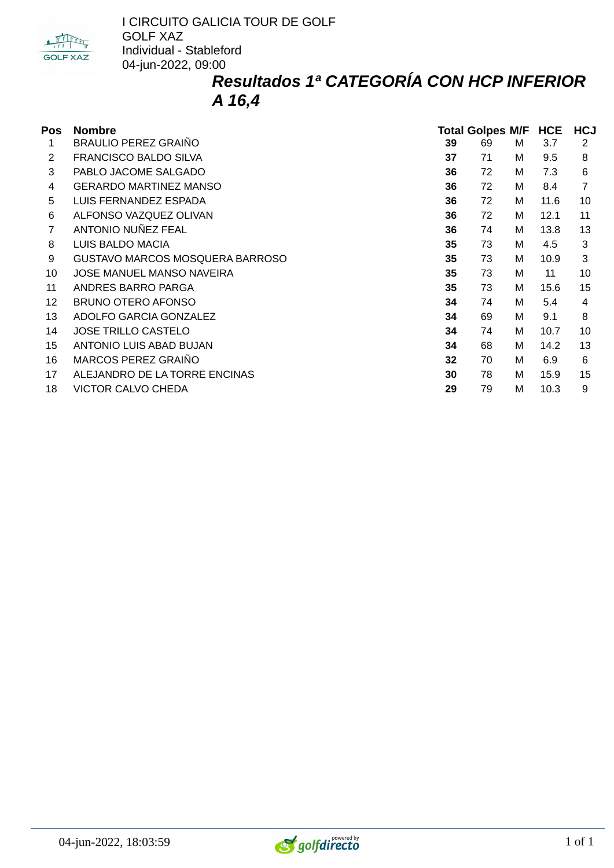

I CIRCUITO GALICIA TOUR DE GOLF GOLF XAZ Individual - Stableford 04-jun-2022, 09:00

## *Resultados 1ª CATEGORÍA CON HCP INFERIOR A 16,4*

| Pos | <b>Nombre</b>                   | <b>Total Golpes M/F</b> |    |   | <b>HCE</b> | <b>HCJ</b> |
|-----|---------------------------------|-------------------------|----|---|------------|------------|
| 1   | <b>BRAULIO PEREZ GRAINO</b>     | 39                      | 69 | м | 3.7        | 2          |
| 2   | FRANCISCO BALDO SILVA           | 37                      | 71 | м | 9.5        | 8          |
| 3   | PABLO JACOME SALGADO            | 36                      | 72 | м | 7.3        | 6          |
| 4   | <b>GERARDO MARTINEZ MANSO</b>   | 36                      | 72 | M | 8.4        |            |
| 5   | LUIS FERNANDEZ ESPADA           | 36                      | 72 | M | 11.6       | 10         |
| 6   | ALFONSO VAZQUEZ OLIVAN          | 36                      | 72 | M | 12.1       | 11         |
|     | ANTONIO NUÑEZ FEAL              | 36                      | 74 | M | 13.8       | 13         |
| 8   | LUIS BALDO MACIA                | 35                      | 73 | M | 4.5        | 3          |
| 9   | GUSTAVO MARCOS MOSQUERA BARROSO | 35                      | 73 | м | 10.9       | 3          |
| 10  | JOSE MANUEL MANSO NAVEIRA       | 35                      | 73 | M | 11         | 10         |
| 11  | ANDRES BARRO PARGA              | 35                      | 73 | м | 15.6       | 15         |
| 12  | <b>BRUNO OTERO AFONSO</b>       | 34                      | 74 | м | 5.4        | 4          |
| 13  | ADOLFO GARCIA GONZALEZ          | 34                      | 69 | M | 9.1        | 8          |
| 14  | <b>JOSE TRILLO CASTELO</b>      | 34                      | 74 | M | 10.7       | 10         |
| 15  | ANTONIO LUIS ABAD BUJAN         | 34                      | 68 | M | 14.2       | 13         |
| 16  | MARCOS PEREZ GRAIÑO             | 32                      | 70 | M | 6.9        | 6          |
| 17  | ALEJANDRO DE LA TORRE ENCINAS   | 30                      | 78 | M | 15.9       | 15         |
| 18  | <b>VICTOR CALVO CHEDA</b>       | 29                      | 79 | M | 10.3       | 9          |

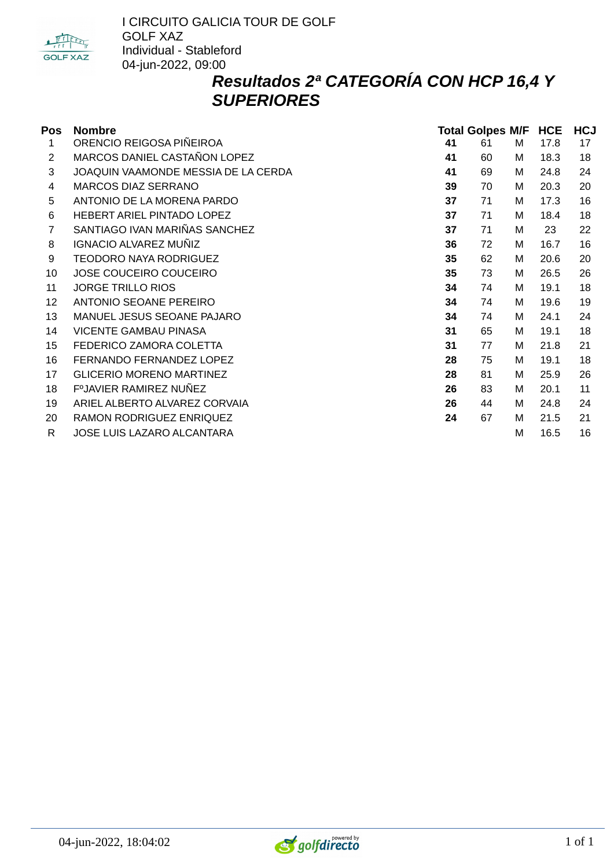

## *Resultados 2ª CATEGORÍA CON HCP 16,4 Y SUPERIORES*

| Pos | <b>Nombre</b>                       | <b>Total Golpes M/F</b> |    |   |      | <b>HCJ</b> |  |
|-----|-------------------------------------|-------------------------|----|---|------|------------|--|
| 1   | ORENCIO REIGOSA PIÑEIROA            | 41                      | 61 | M | 17.8 | 17         |  |
| 2   | MARCOS DANIEL CASTAÑON LOPEZ        | 41                      | 60 | м | 18.3 | 18         |  |
| 3   | JOAQUIN VAAMONDE MESSIA DE LA CERDA | 41                      | 69 | M | 24.8 | 24         |  |
| 4   | <b>MARCOS DIAZ SERRANO</b>          | 39                      | 70 | M | 20.3 | 20         |  |
| 5   | ANTONIO DE LA MORENA PARDO          | 37                      | 71 | M | 17.3 | 16         |  |
| 6   | HEBERT ARIEL PINTADO LOPEZ          | 37                      | 71 | M | 18.4 | 18         |  |
| 7   | SANTIAGO IVAN MARIÑAS SANCHEZ       | 37                      | 71 | M | 23   | 22         |  |
| 8   | <b>IGNACIO ALVAREZ MUÑIZ</b>        | 36                      | 72 | M | 16.7 | 16         |  |
| 9   | TEODORO NAYA RODRIGUEZ              | 35                      | 62 | M | 20.6 | 20         |  |
| 10  | JOSE COUCEIRO COUCEIRO              | 35                      | 73 | м | 26.5 | 26         |  |
| 11  | <b>JORGE TRILLO RIOS</b>            | 34                      | 74 | M | 19.1 | 18         |  |
| 12  | ANTONIO SEOANE PEREIRO              | 34                      | 74 | M | 19.6 | 19         |  |
| 13  | MANUEL JESUS SEOANE PAJARO          | 34                      | 74 | M | 24.1 | 24         |  |
| 14  | <b>VICENTE GAMBAU PINASA</b>        | 31                      | 65 | M | 19.1 | 18         |  |
| 15  | FEDERICO ZAMORA COLETTA             | 31                      | 77 | м | 21.8 | 21         |  |
| 16  | FERNANDO FERNANDEZ LOPEZ            | 28                      | 75 | M | 19.1 | 18         |  |
| 17  | <b>GLICERIO MORENO MARTINEZ</b>     | 28                      | 81 | M | 25.9 | 26         |  |
| 18  | F°JAVIER RAMIREZ NUÑEZ              | 26                      | 83 | M | 20.1 | 11         |  |
| 19  | ARIEL ALBERTO ALVAREZ CORVAIA       | 26                      | 44 | M | 24.8 | 24         |  |
| 20  | RAMON RODRIGUEZ ENRIQUEZ            | 24                      | 67 | M | 21.5 | 21         |  |
| R   | JOSE LUIS LAZARO ALCANTARA          |                         |    | M | 16.5 | 16         |  |